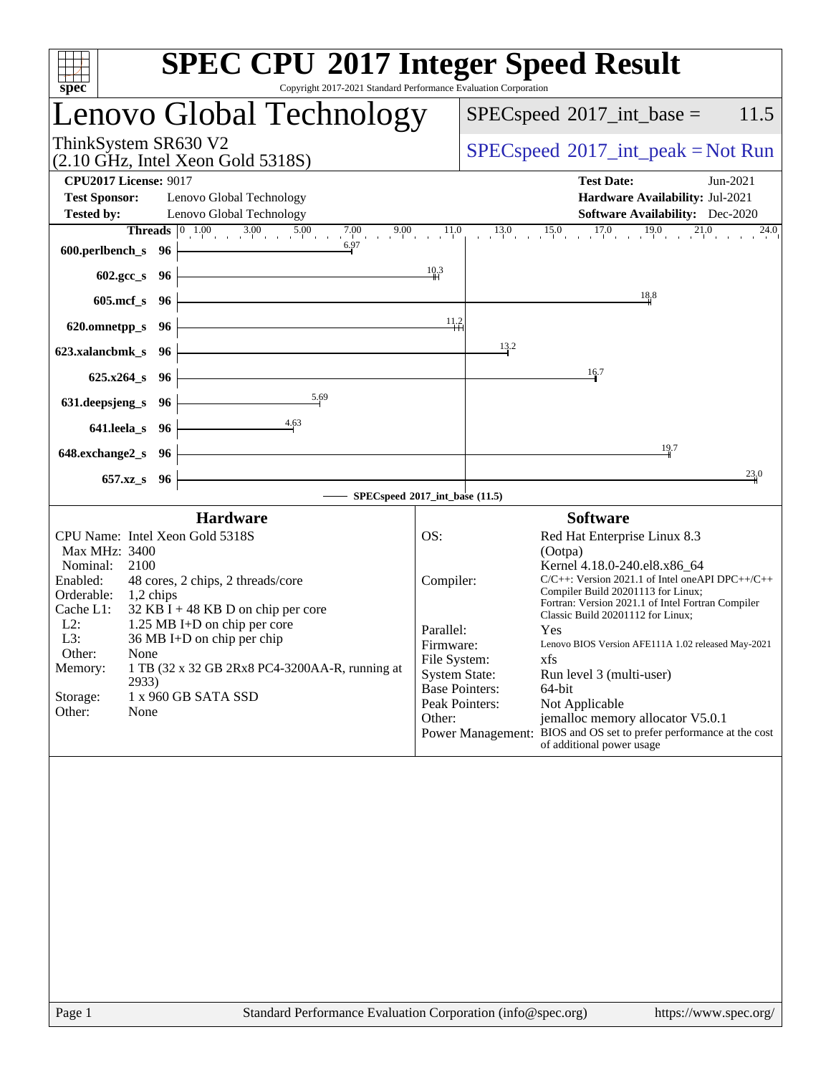| <b>SPEC CPU®2017 Integer Speed Result</b><br>Copyright 2017-2021 Standard Performance Evaluation Corporation<br>spec <sup>®</sup>                                                                                                                                                                                                                                                                                                   |                                                                                              |                                                                                                                                                                                                                                                                                                                                                                                                                                                                                                                                                                               |  |  |  |  |  |
|-------------------------------------------------------------------------------------------------------------------------------------------------------------------------------------------------------------------------------------------------------------------------------------------------------------------------------------------------------------------------------------------------------------------------------------|----------------------------------------------------------------------------------------------|-------------------------------------------------------------------------------------------------------------------------------------------------------------------------------------------------------------------------------------------------------------------------------------------------------------------------------------------------------------------------------------------------------------------------------------------------------------------------------------------------------------------------------------------------------------------------------|--|--|--|--|--|
| Lenovo Global Technology                                                                                                                                                                                                                                                                                                                                                                                                            |                                                                                              | $SPEC speed^{\circ}2017\_int\_base =$<br>11.5                                                                                                                                                                                                                                                                                                                                                                                                                                                                                                                                 |  |  |  |  |  |
| ThinkSystem SR630 V2<br>$(2.10 \text{ GHz}, \text{Intel Xeon Gold } 5318S)$                                                                                                                                                                                                                                                                                                                                                         |                                                                                              | $SPEC speed^{\circ}2017\_int\_peak = Not Run$                                                                                                                                                                                                                                                                                                                                                                                                                                                                                                                                 |  |  |  |  |  |
| <b>CPU2017 License: 9017</b><br><b>Test Sponsor:</b><br>Lenovo Global Technology<br><b>Tested by:</b><br>Lenovo Global Technology                                                                                                                                                                                                                                                                                                   |                                                                                              | <b>Test Date:</b><br>Jun-2021<br>Hardware Availability: Jul-2021<br>Software Availability: Dec-2020                                                                                                                                                                                                                                                                                                                                                                                                                                                                           |  |  |  |  |  |
| <b>Threads</b> $\begin{bmatrix} 0 & 1.00 \\ 1 & 0 & 3.00 \\ 0 & 0 & 5.00 \end{bmatrix}$ $\begin{bmatrix} 5.00 & 7.00 \\ 1 & 0 & 9.00 \\ 0 & 0 & 11.0 \\ 0 & 0 & 0 & 11.0 \\ 0 & 0 & 0 & 0 \end{bmatrix}$<br>6.97<br>600.perlbench_s 96<br>$602.\text{gcc}\,s$ 96                                                                                                                                                                    | 10.3                                                                                         | $13.0$ $15.0$ $17.0$ $19.0$<br>21.0<br>$\overline{2}4.0$                                                                                                                                                                                                                                                                                                                                                                                                                                                                                                                      |  |  |  |  |  |
| $605$ .mcf_s<br>- 96                                                                                                                                                                                                                                                                                                                                                                                                                |                                                                                              | 18.8                                                                                                                                                                                                                                                                                                                                                                                                                                                                                                                                                                          |  |  |  |  |  |
| 620.omnetpp_s<br>- 96                                                                                                                                                                                                                                                                                                                                                                                                               | 11.2                                                                                         |                                                                                                                                                                                                                                                                                                                                                                                                                                                                                                                                                                               |  |  |  |  |  |
| 623.xalancbmk_s 96                                                                                                                                                                                                                                                                                                                                                                                                                  |                                                                                              | 13.2                                                                                                                                                                                                                                                                                                                                                                                                                                                                                                                                                                          |  |  |  |  |  |
| $625.x264_s$<br>- 96<br>5.69                                                                                                                                                                                                                                                                                                                                                                                                        |                                                                                              | 16.7                                                                                                                                                                                                                                                                                                                                                                                                                                                                                                                                                                          |  |  |  |  |  |
| 631.deepsjeng_s<br>- 96<br>4.63<br>641.leela_s<br>96                                                                                                                                                                                                                                                                                                                                                                                |                                                                                              |                                                                                                                                                                                                                                                                                                                                                                                                                                                                                                                                                                               |  |  |  |  |  |
| 648.exchange2_s<br>- 96                                                                                                                                                                                                                                                                                                                                                                                                             |                                                                                              | 19.7                                                                                                                                                                                                                                                                                                                                                                                                                                                                                                                                                                          |  |  |  |  |  |
| 657.xz_s 96                                                                                                                                                                                                                                                                                                                                                                                                                         |                                                                                              | 23.0                                                                                                                                                                                                                                                                                                                                                                                                                                                                                                                                                                          |  |  |  |  |  |
| SPECspeed®2017_int_base (11.5)<br><b>Hardware</b><br><b>Software</b>                                                                                                                                                                                                                                                                                                                                                                |                                                                                              |                                                                                                                                                                                                                                                                                                                                                                                                                                                                                                                                                                               |  |  |  |  |  |
| CPU Name: Intel Xeon Gold 5318S<br>Max MHz: 3400<br>Nominal:<br>2100<br>Enabled:<br>48 cores, 2 chips, 2 threads/core<br>Orderable:<br>$1,2$ chips<br>Cache L1:<br>$32$ KB I + 48 KB D on chip per core<br>$L2$ :<br>1.25 MB I+D on chip per core<br>36 MB I+D on chip per chip<br>L3:<br>Other:<br>None<br>1 TB (32 x 32 GB 2Rx8 PC4-3200AA-R, running at<br>Memory:<br>2933)<br>1 x 960 GB SATA SSD<br>Storage:<br>Other:<br>None | OS:<br>Compiler:<br>Parallel:<br>Firmware:<br>File System:<br><b>System State:</b><br>Other: | Red Hat Enterprise Linux 8.3<br>(Ootpa)<br>Kernel 4.18.0-240.el8.x86_64<br>$C/C++$ : Version 2021.1 of Intel one API DPC++/C++<br>Compiler Build 20201113 for Linux;<br>Fortran: Version 2021.1 of Intel Fortran Compiler<br>Classic Build 20201112 for Linux;<br>Yes<br>Lenovo BIOS Version AFE111A 1.02 released May-2021<br>xfs<br>Run level 3 (multi-user)<br><b>Base Pointers:</b><br>64-bit<br>Peak Pointers:<br>Not Applicable<br>jemalloc memory allocator V5.0.1<br>Power Management: BIOS and OS set to prefer performance at the cost<br>of additional power usage |  |  |  |  |  |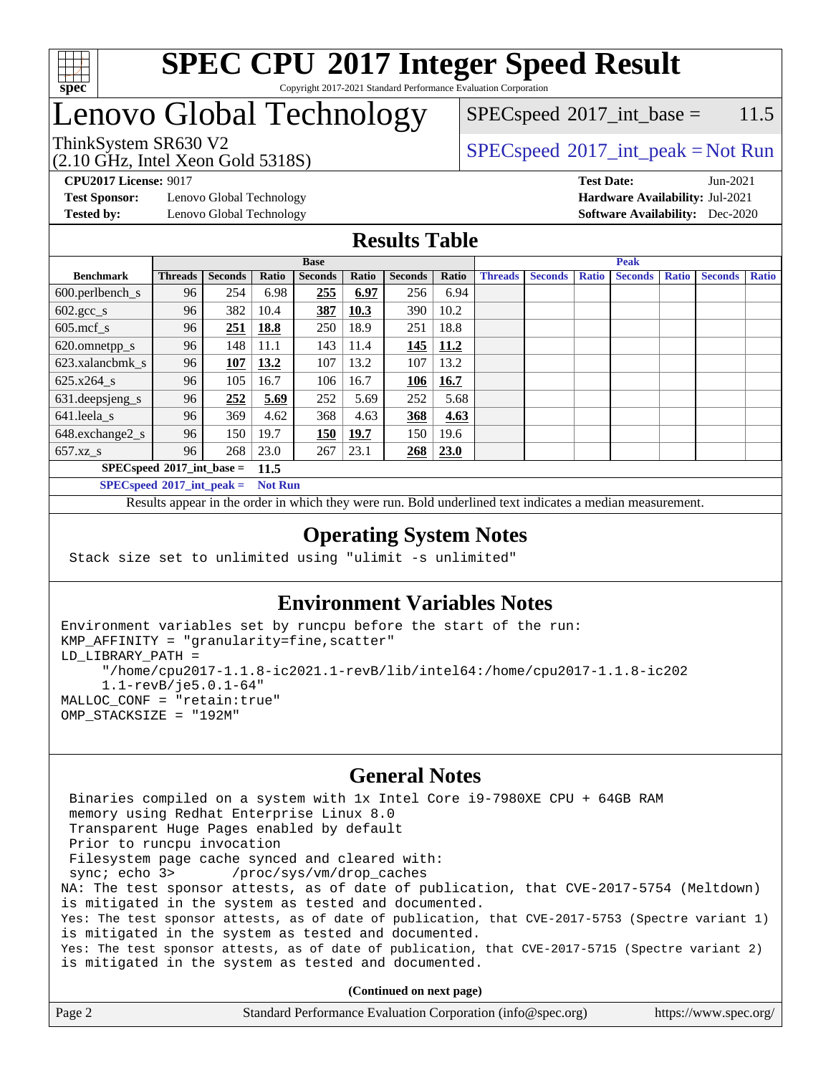

#### **[SPEC CPU](http://www.spec.org/auto/cpu2017/Docs/result-fields.html#SPECCPU2017IntegerSpeedResult)[2017 Integer Speed Result](http://www.spec.org/auto/cpu2017/Docs/result-fields.html#SPECCPU2017IntegerSpeedResult)** Copyright 2017-2021 Standard Performance Evaluation Corporation

# Lenovo Global Technology

 $SPEC speed^{\circ}2017\_int\_base = 11.5$ 

(2.10 GHz, Intel Xeon Gold 5318S)

ThinkSystem SR630 V2  $SPEC speed^{\circ}2017\_int\_peak = Not Run$ 

**[Test Sponsor:](http://www.spec.org/auto/cpu2017/Docs/result-fields.html#TestSponsor)** Lenovo Global Technology **[Hardware Availability:](http://www.spec.org/auto/cpu2017/Docs/result-fields.html#HardwareAvailability)** Jul-2021 **[Tested by:](http://www.spec.org/auto/cpu2017/Docs/result-fields.html#Testedby)** Lenovo Global Technology **[Software Availability:](http://www.spec.org/auto/cpu2017/Docs/result-fields.html#SoftwareAvailability)** Dec-2020

**[CPU2017 License:](http://www.spec.org/auto/cpu2017/Docs/result-fields.html#CPU2017License)** 9017 **[Test Date:](http://www.spec.org/auto/cpu2017/Docs/result-fields.html#TestDate)** Jun-2021

### **[Results Table](http://www.spec.org/auto/cpu2017/Docs/result-fields.html#ResultsTable)**

|                                     | <b>Base</b>    |                |       |                |       | <b>Peak</b>    |       |                |                |              |                |              |                |              |
|-------------------------------------|----------------|----------------|-------|----------------|-------|----------------|-------|----------------|----------------|--------------|----------------|--------------|----------------|--------------|
| <b>Benchmark</b>                    | <b>Threads</b> | <b>Seconds</b> | Ratio | <b>Seconds</b> | Ratio | <b>Seconds</b> | Ratio | <b>Threads</b> | <b>Seconds</b> | <b>Ratio</b> | <b>Seconds</b> | <b>Ratio</b> | <b>Seconds</b> | <b>Ratio</b> |
| $600.$ perlbench_s                  | 96             | 254            | 6.98  | 255            | 6.97  | 256            | 6.94  |                |                |              |                |              |                |              |
| $602.\text{gcc}\_\text{s}$          | 96             | 382            | 10.4  | 387            | 10.3  | 390            | 10.2  |                |                |              |                |              |                |              |
| $605$ .mcf s                        | 96             | 251            | 18.8  | 250            | 18.9  | 251            | 18.8  |                |                |              |                |              |                |              |
| 620.omnetpp_s                       | 96             | 148            | 11.1  | 143            | 11.4  | 145            | 11.2  |                |                |              |                |              |                |              |
| 623.xalancbmk s                     | 96             | 107            | 13.2  | 107            | 13.2  | 107            | 13.2  |                |                |              |                |              |                |              |
| 625.x264 s                          | 96             | 105            | 16.7  | 106            | 16.7  | 106            | 16.7  |                |                |              |                |              |                |              |
| 631.deepsjeng_s                     | 96             | 252            | 5.69  | 252            | 5.69  | 252            | 5.68  |                |                |              |                |              |                |              |
| 641.leela_s                         | 96             | 369            | 4.62  | 368            | 4.63  | 368            | 4.63  |                |                |              |                |              |                |              |
| 648.exchange2_s                     | 96             | 150            | 19.7  | 150            | 19.7  | 150            | 19.6  |                |                |              |                |              |                |              |
| $657.xz$ <sub>S</sub>               | 96             | 268            | 23.0  | 267            | 23.1  | <u>268</u>     | 23.0  |                |                |              |                |              |                |              |
| $SPECspeed*2017$ int base =<br>11.5 |                |                |       |                |       |                |       |                |                |              |                |              |                |              |

**[SPECspeed](http://www.spec.org/auto/cpu2017/Docs/result-fields.html#SPECspeed2017intpeak)[2017\\_int\\_peak =](http://www.spec.org/auto/cpu2017/Docs/result-fields.html#SPECspeed2017intpeak) Not Run**

Results appear in the [order in which they were run.](http://www.spec.org/auto/cpu2017/Docs/result-fields.html#RunOrder) Bold underlined text [indicates a median measurement.](http://www.spec.org/auto/cpu2017/Docs/result-fields.html#Median)

### **[Operating System Notes](http://www.spec.org/auto/cpu2017/Docs/result-fields.html#OperatingSystemNotes)**

Stack size set to unlimited using "ulimit -s unlimited"

### **[Environment Variables Notes](http://www.spec.org/auto/cpu2017/Docs/result-fields.html#EnvironmentVariablesNotes)**

```
Environment variables set by runcpu before the start of the run:
KMP_AFFINITY = "granularity=fine,scatter"
LD_LIBRARY_PATH =
      "/home/cpu2017-1.1.8-ic2021.1-revB/lib/intel64:/home/cpu2017-1.1.8-ic202
      1.1-revB/je5.0.1-64"
MALLOC_CONF = "retain:true"
OMP_STACKSIZE = "192M"
```
#### **[General Notes](http://www.spec.org/auto/cpu2017/Docs/result-fields.html#GeneralNotes)**

 Binaries compiled on a system with 1x Intel Core i9-7980XE CPU + 64GB RAM memory using Redhat Enterprise Linux 8.0 Transparent Huge Pages enabled by default Prior to runcpu invocation Filesystem page cache synced and cleared with: sync; echo 3> /proc/sys/vm/drop\_caches NA: The test sponsor attests, as of date of publication, that CVE-2017-5754 (Meltdown) is mitigated in the system as tested and documented. Yes: The test sponsor attests, as of date of publication, that CVE-2017-5753 (Spectre variant 1) is mitigated in the system as tested and documented. Yes: The test sponsor attests, as of date of publication, that CVE-2017-5715 (Spectre variant 2) is mitigated in the system as tested and documented.

**(Continued on next page)**

| Page 2 | Standard Performance Evaluation Corporation (info@spec.org) | https://www.spec.org/ |
|--------|-------------------------------------------------------------|-----------------------|
|--------|-------------------------------------------------------------|-----------------------|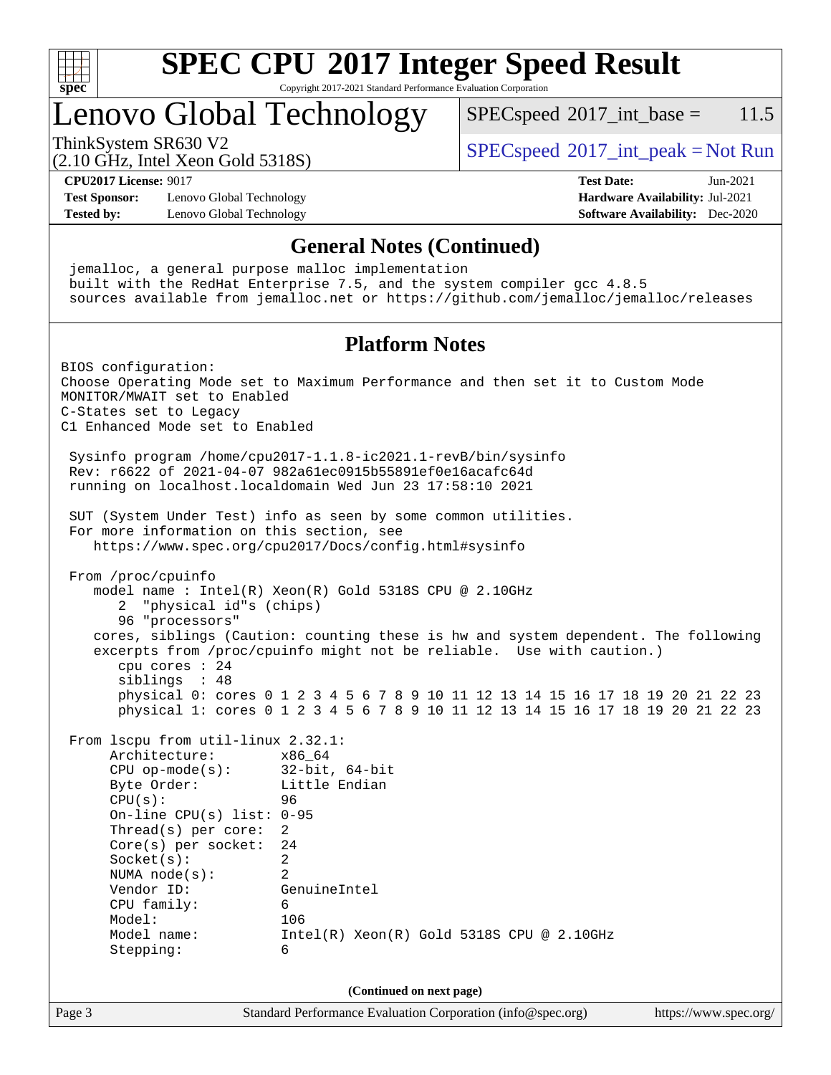

Copyright 2017-2021 Standard Performance Evaluation Corporation

# Lenovo Global Technology

 $SPECspeed^{\circ}2017\_int\_base = 11.5$  $SPECspeed^{\circ}2017\_int\_base = 11.5$ 

(2.10 GHz, Intel Xeon Gold 5318S)

ThinkSystem SR630 V2  $SPEC speed^{\circ}2017\_int\_peak = Not Run$ 

**[CPU2017 License:](http://www.spec.org/auto/cpu2017/Docs/result-fields.html#CPU2017License)** 9017 **[Test Date:](http://www.spec.org/auto/cpu2017/Docs/result-fields.html#TestDate)** Jun-2021

**[Test Sponsor:](http://www.spec.org/auto/cpu2017/Docs/result-fields.html#TestSponsor)** Lenovo Global Technology **[Hardware Availability:](http://www.spec.org/auto/cpu2017/Docs/result-fields.html#HardwareAvailability)** Jul-2021 **[Tested by:](http://www.spec.org/auto/cpu2017/Docs/result-fields.html#Testedby)** Lenovo Global Technology **[Software Availability:](http://www.spec.org/auto/cpu2017/Docs/result-fields.html#SoftwareAvailability)** Dec-2020

**[General Notes \(Continued\)](http://www.spec.org/auto/cpu2017/Docs/result-fields.html#GeneralNotes)** jemalloc, a general purpose malloc implementation built with the RedHat Enterprise 7.5, and the system compiler gcc 4.8.5 sources available from jemalloc.net or <https://github.com/jemalloc/jemalloc/releases> **[Platform Notes](http://www.spec.org/auto/cpu2017/Docs/result-fields.html#PlatformNotes)** BIOS configuration: Choose Operating Mode set to Maximum Performance and then set it to Custom Mode MONITOR/MWAIT set to Enabled C-States set to Legacy C1 Enhanced Mode set to Enabled Sysinfo program /home/cpu2017-1.1.8-ic2021.1-revB/bin/sysinfo Rev: r6622 of 2021-04-07 982a61ec0915b55891ef0e16acafc64d running on localhost.localdomain Wed Jun 23 17:58:10 2021 SUT (System Under Test) info as seen by some common utilities. For more information on this section, see <https://www.spec.org/cpu2017/Docs/config.html#sysinfo> From /proc/cpuinfo model name : Intel(R) Xeon(R) Gold 5318S CPU @ 2.10GHz 2 "physical id"s (chips) 96 "processors" cores, siblings (Caution: counting these is hw and system dependent. The following excerpts from /proc/cpuinfo might not be reliable. Use with caution.) cpu cores : 24 siblings : 48 physical 0: cores 0 1 2 3 4 5 6 7 8 9 10 11 12 13 14 15 16 17 18 19 20 21 22 23 physical 1: cores 0 1 2 3 4 5 6 7 8 9 10 11 12 13 14 15 16 17 18 19 20 21 22 23 From lscpu from util-linux 2.32.1: Architecture: x86\_64 CPU op-mode(s): 32-bit, 64-bit Byte Order: Little Endian  $CPU(s):$  96 On-line CPU(s) list: 0-95 Thread(s) per core: 2 Core(s) per socket: 24 Socket(s): 2 NUMA node(s): 2 Vendor ID: GenuineIntel CPU family: 6 Model: 106 Model name: Intel(R) Xeon(R) Gold 5318S CPU @ 2.10GHz Stepping: 6 **(Continued on next page)**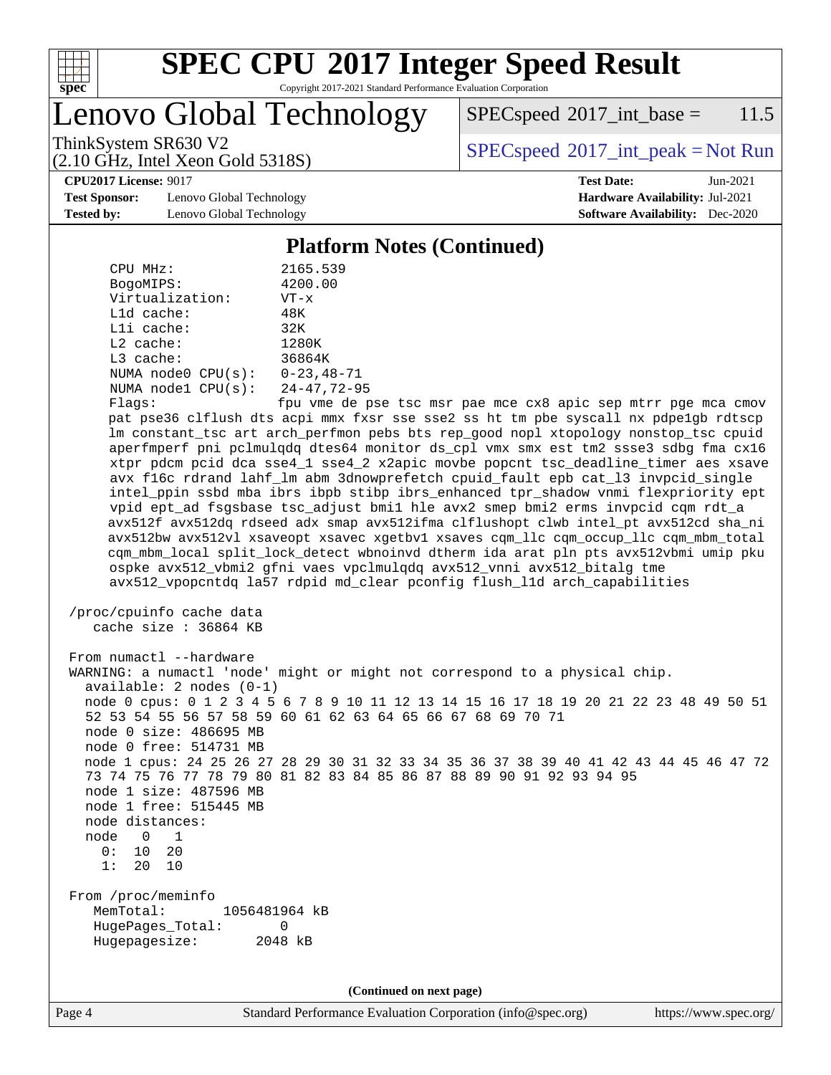

Copyright 2017-2021 Standard Performance Evaluation Corporation

Lenovo Global Technology

 $SPEC speed^{\circ}2017\_int\_base = 11.5$ 

(2.10 GHz, Intel Xeon Gold 5318S)

ThinkSystem SR630 V2  $SPECspeed^{\circ}2017\_int\_peak = Not Run$  $SPECspeed^{\circ}2017\_int\_peak = Not Run$ 

**[CPU2017 License:](http://www.spec.org/auto/cpu2017/Docs/result-fields.html#CPU2017License)** 9017 **[Test Date:](http://www.spec.org/auto/cpu2017/Docs/result-fields.html#TestDate)** Jun-2021

**[Test Sponsor:](http://www.spec.org/auto/cpu2017/Docs/result-fields.html#TestSponsor)** Lenovo Global Technology **[Hardware Availability:](http://www.spec.org/auto/cpu2017/Docs/result-fields.html#HardwareAvailability)** Jul-2021 **[Tested by:](http://www.spec.org/auto/cpu2017/Docs/result-fields.html#Testedby)** Lenovo Global Technology **[Software Availability:](http://www.spec.org/auto/cpu2017/Docs/result-fields.html#SoftwareAvailability)** Dec-2020

#### **[Platform Notes \(Continued\)](http://www.spec.org/auto/cpu2017/Docs/result-fields.html#PlatformNotes)**

 CPU MHz: 2165.539 BogoMIPS: 4200.00 Virtualization: VT-x L1d cache: 48K L1i cache: 32K L2 cache: 1280K L3 cache: 36864K NUMA node0 CPU(s): 0-23,48-71 NUMA node1 CPU(s): 24-47,72-95 Flags: fpu vme de pse tsc msr pae mce cx8 apic sep mtrr pge mca cmov pat pse36 clflush dts acpi mmx fxsr sse sse2 ss ht tm pbe syscall nx pdpe1gb rdtscp lm constant\_tsc art arch\_perfmon pebs bts rep\_good nopl xtopology nonstop\_tsc cpuid aperfmperf pni pclmulqdq dtes64 monitor ds\_cpl vmx smx est tm2 ssse3 sdbg fma cx16 xtpr pdcm pcid dca sse4\_1 sse4\_2 x2apic movbe popcnt tsc\_deadline\_timer aes xsave avx f16c rdrand lahf\_lm abm 3dnowprefetch cpuid\_fault epb cat\_l3 invpcid\_single intel\_ppin ssbd mba ibrs ibpb stibp ibrs\_enhanced tpr\_shadow vnmi flexpriority ept vpid ept\_ad fsgsbase tsc\_adjust bmi1 hle avx2 smep bmi2 erms invpcid cqm rdt\_a avx512f avx512dq rdseed adx smap avx512ifma clflushopt clwb intel\_pt avx512cd sha\_ni avx512bw avx512vl xsaveopt xsavec xgetbv1 xsaves cqm\_llc cqm\_occup\_llc cqm\_mbm\_total cqm\_mbm\_local split\_lock\_detect wbnoinvd dtherm ida arat pln pts avx512vbmi umip pku ospke avx512\_vbmi2 gfni vaes vpclmulqdq avx512\_vnni avx512\_bitalg tme avx512\_vpopcntdq la57 rdpid md\_clear pconfig flush\_l1d arch\_capabilities /proc/cpuinfo cache data cache size : 36864 KB From numactl --hardware WARNING: a numactl 'node' might or might not correspond to a physical chip. available: 2 nodes (0-1) node 0 cpus: 0 1 2 3 4 5 6 7 8 9 10 11 12 13 14 15 16 17 18 19 20 21 22 23 48 49 50 51 52 53 54 55 56 57 58 59 60 61 62 63 64 65 66 67 68 69 70 71 node 0 size: 486695 MB node 0 free: 514731 MB node 1 cpus: 24 25 26 27 28 29 30 31 32 33 34 35 36 37 38 39 40 41 42 43 44 45 46 47 72 73 74 75 76 77 78 79 80 81 82 83 84 85 86 87 88 89 90 91 92 93 94 95 node 1 size: 487596 MB node 1 free: 515445 MB node distances: node 0 1 0: 10 20 1: 20 10 From /proc/meminfo MemTotal: 1056481964 kB HugePages\_Total: 0 Hugepagesize: 2048 kB **(Continued on next page)**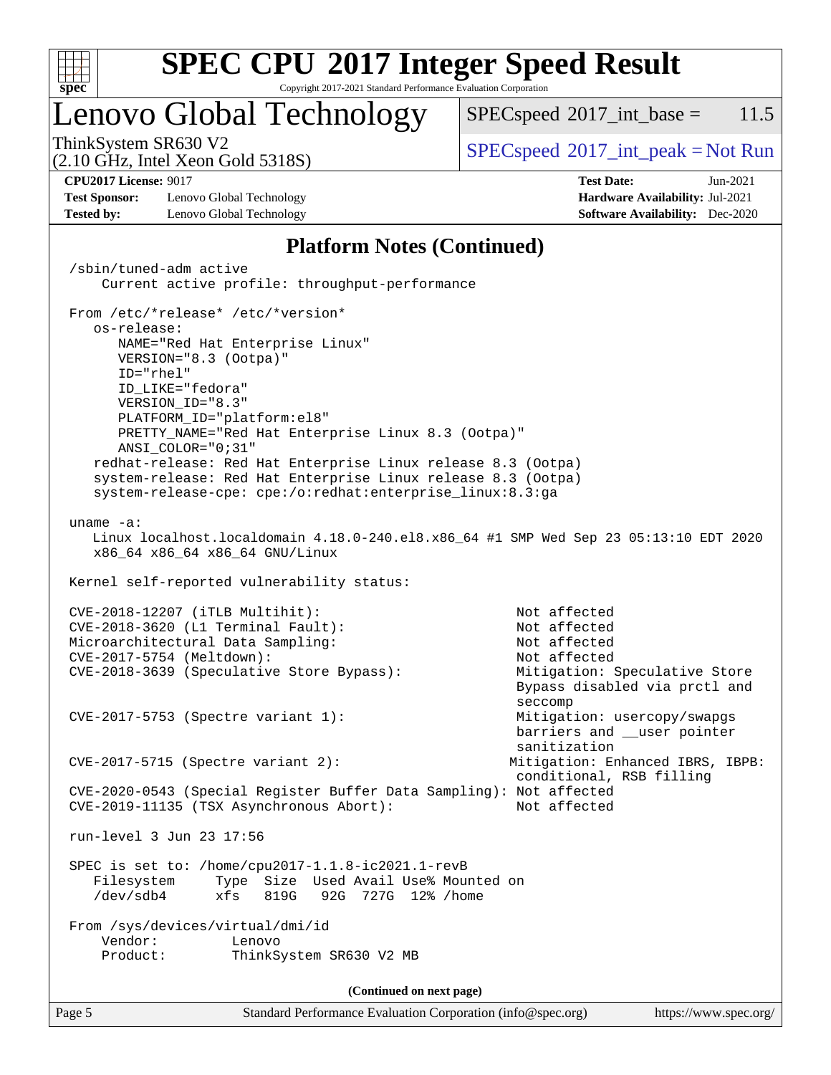

Copyright 2017-2021 Standard Performance Evaluation Corporation

# Lenovo Global Technology

 $SPECspeed^{\circ}2017\_int\_base = 11.5$  $SPECspeed^{\circ}2017\_int\_base = 11.5$ 

(2.10 GHz, Intel Xeon Gold 5318S)

ThinkSystem SR630 V2  $SPEC speed^{\circ}2017\_int\_peak = Not Run$ 

**[Test Sponsor:](http://www.spec.org/auto/cpu2017/Docs/result-fields.html#TestSponsor)** Lenovo Global Technology **[Hardware Availability:](http://www.spec.org/auto/cpu2017/Docs/result-fields.html#HardwareAvailability)** Jul-2021 **[Tested by:](http://www.spec.org/auto/cpu2017/Docs/result-fields.html#Testedby)** Lenovo Global Technology **[Software Availability:](http://www.spec.org/auto/cpu2017/Docs/result-fields.html#SoftwareAvailability)** Dec-2020

**[CPU2017 License:](http://www.spec.org/auto/cpu2017/Docs/result-fields.html#CPU2017License)** 9017 **[Test Date:](http://www.spec.org/auto/cpu2017/Docs/result-fields.html#TestDate)** Jun-2021

#### **[Platform Notes \(Continued\)](http://www.spec.org/auto/cpu2017/Docs/result-fields.html#PlatformNotes)**

Page 5 Standard Performance Evaluation Corporation [\(info@spec.org\)](mailto:info@spec.org) <https://www.spec.org/> /sbin/tuned-adm active Current active profile: throughput-performance From /etc/\*release\* /etc/\*version\* os-release: NAME="Red Hat Enterprise Linux" VERSION="8.3 (Ootpa)" ID="rhel" ID\_LIKE="fedora" VERSION\_ID="8.3" PLATFORM\_ID="platform:el8" PRETTY\_NAME="Red Hat Enterprise Linux 8.3 (Ootpa)" ANSI\_COLOR="0;31" redhat-release: Red Hat Enterprise Linux release 8.3 (Ootpa) system-release: Red Hat Enterprise Linux release 8.3 (Ootpa) system-release-cpe: cpe:/o:redhat:enterprise\_linux:8.3:ga uname -a: Linux localhost.localdomain 4.18.0-240.el8.x86\_64 #1 SMP Wed Sep 23 05:13:10 EDT 2020 x86\_64 x86\_64 x86\_64 GNU/Linux Kernel self-reported vulnerability status: CVE-2018-12207 (iTLB Multihit): Not affected CVE-2018-3620 (L1 Terminal Fault): Not affected Microarchitectural Data Sampling: Not affected CVE-2017-5754 (Meltdown): Not affected CVE-2018-3639 (Speculative Store Bypass): Mitigation: Speculative Store Bypass disabled via prctl and seccompany and the contract of the contract of the contract of the second seconds of the contract of the contract of the contract of the contract of the contract of the contract of the contract of the contract of the contr CVE-2017-5753 (Spectre variant 1): Mitigation: usercopy/swapgs barriers and \_\_user pointer sanitization CVE-2017-5715 (Spectre variant 2): Mitigation: Enhanced IBRS, IBPB: conditional, RSB filling CVE-2020-0543 (Special Register Buffer Data Sampling): Not affected  $CVE-2019-11135$  (TSX Asynchronous Abort): run-level 3 Jun 23 17:56 SPEC is set to: /home/cpu2017-1.1.8-ic2021.1-revB Filesystem Type Size Used Avail Use% Mounted on /dev/sdb4 xfs 819G 92G 727G 12% /home From /sys/devices/virtual/dmi/id Vendor: Lenovo Product: ThinkSystem SR630 V2 MB **(Continued on next page)**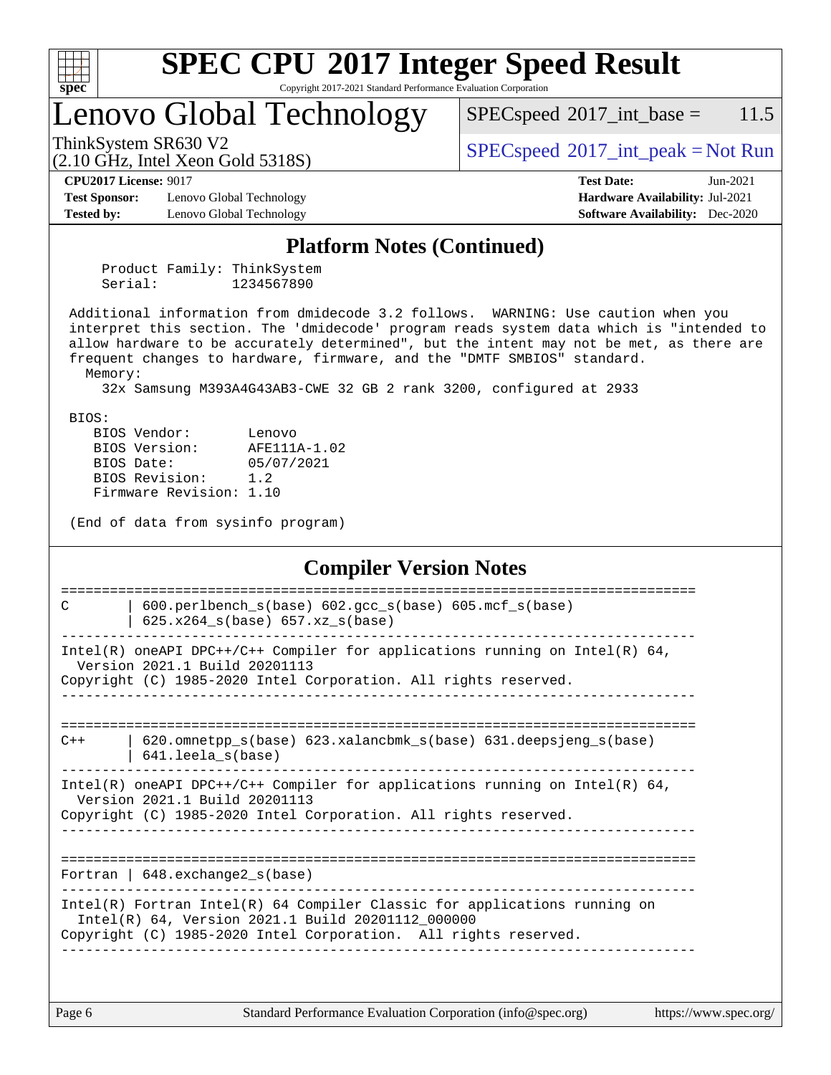

Copyright 2017-2021 Standard Performance Evaluation Corporation

# Lenovo Global Technology

 $SPECspeed^{\circledcirc}2017\_int\_base = 11.5$  $SPECspeed^{\circledcirc}2017\_int\_base = 11.5$ 

(2.10 GHz, Intel Xeon Gold 5318S)

ThinkSystem SR630 V2<br>  $\begin{array}{c} \text{SPEC speed} \textdegree 2017\_int\_peak = Not Run \end{array}$ 

**[CPU2017 License:](http://www.spec.org/auto/cpu2017/Docs/result-fields.html#CPU2017License)** 9017 **[Test Date:](http://www.spec.org/auto/cpu2017/Docs/result-fields.html#TestDate)** Jun-2021

**[Test Sponsor:](http://www.spec.org/auto/cpu2017/Docs/result-fields.html#TestSponsor)** Lenovo Global Technology **[Hardware Availability:](http://www.spec.org/auto/cpu2017/Docs/result-fields.html#HardwareAvailability)** Jul-2021 **[Tested by:](http://www.spec.org/auto/cpu2017/Docs/result-fields.html#Testedby)** Lenovo Global Technology **[Software Availability:](http://www.spec.org/auto/cpu2017/Docs/result-fields.html#SoftwareAvailability)** Dec-2020

#### **[Platform Notes \(Continued\)](http://www.spec.org/auto/cpu2017/Docs/result-fields.html#PlatformNotes)**

 Product Family: ThinkSystem Serial: 1234567890

 Additional information from dmidecode 3.2 follows. WARNING: Use caution when you interpret this section. The 'dmidecode' program reads system data which is "intended to allow hardware to be accurately determined", but the intent may not be met, as there are frequent changes to hardware, firmware, and the "DMTF SMBIOS" standard. Memory:

32x Samsung M393A4G43AB3-CWE 32 GB 2 rank 3200, configured at 2933

BIOS:

| BIOS Version:<br>AFE111A-1.02 | BIOS Vendor: | Lenovo     |
|-------------------------------|--------------|------------|
|                               |              |            |
|                               | BIOS Date:   | 05/07/2021 |
| BIOS Revision:<br>1.2         |              |            |
| Firmware Revision: 1.10       |              |            |

(End of data from sysinfo program)

#### **[Compiler Version Notes](http://www.spec.org/auto/cpu2017/Docs/result-fields.html#CompilerVersionNotes)**

| C     | $600. perlbench_s(base) 602. gcc_s(base) 605. mcf_s(base)$<br>$625.x264_s(base) 657.xz_s(base)$                                                                                                     |
|-------|-----------------------------------------------------------------------------------------------------------------------------------------------------------------------------------------------------|
|       | Intel(R) oneAPI DPC++/C++ Compiler for applications running on Intel(R) $64$ ,<br>Version 2021.1 Build 20201113<br>Copyright (C) 1985-2020 Intel Corporation. All rights reserved.                  |
|       |                                                                                                                                                                                                     |
| $C++$ | $620$ .omnetpp $s(base)$ $623$ .xalancbmk $s(base)$ $631$ .deepsjeng $s(base)$<br>$641.$ leela_s(base)                                                                                              |
|       | Intel(R) oneAPI DPC++/C++ Compiler for applications running on Intel(R) $64$ ,<br>Version 2021.1 Build 20201113<br>Copyright (C) 1985-2020 Intel Corporation. All rights reserved.                  |
|       | Fortran   $648$ . exchange2 $s(base)$                                                                                                                                                               |
|       | $Intel(R)$ Fortran Intel(R) 64 Compiler Classic for applications running on<br>Intel(R) 64, Version 2021.1 Build 20201112_000000<br>Copyright (C) 1985-2020 Intel Corporation. All rights reserved. |
|       |                                                                                                                                                                                                     |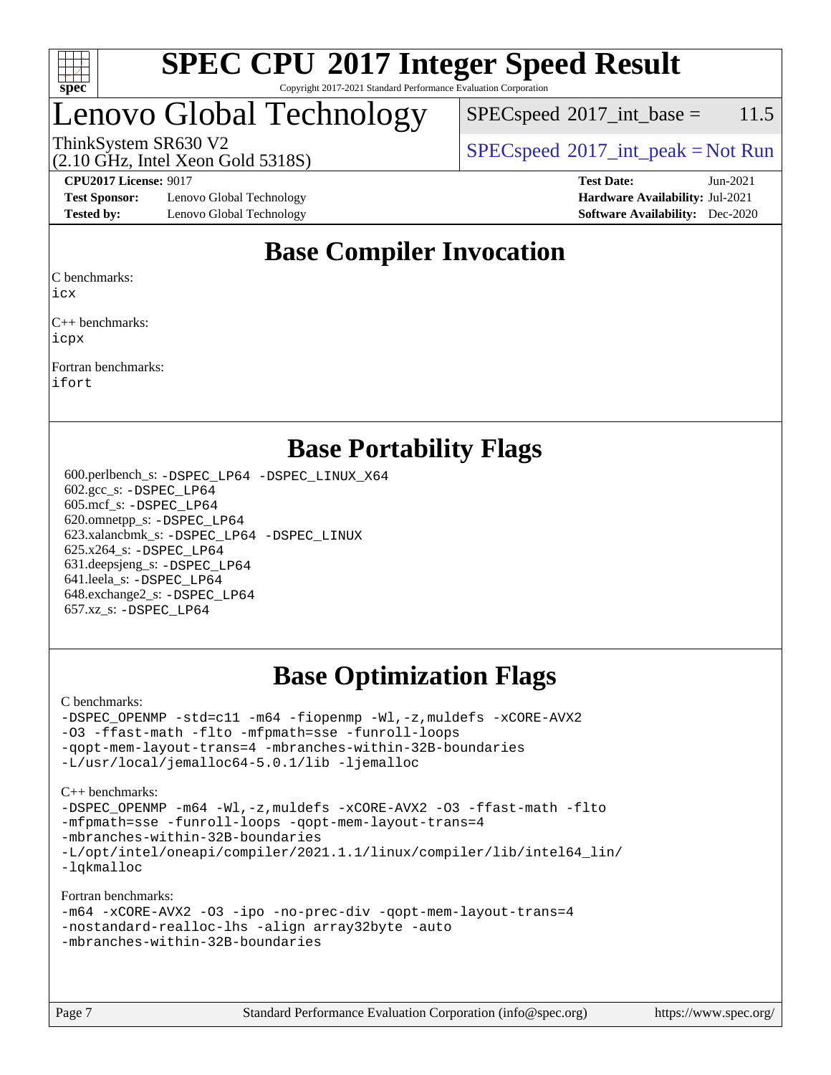

#### **[SPEC CPU](http://www.spec.org/auto/cpu2017/Docs/result-fields.html#SPECCPU2017IntegerSpeedResult)[2017 Integer Speed Result](http://www.spec.org/auto/cpu2017/Docs/result-fields.html#SPECCPU2017IntegerSpeedResult)** Copyright 2017-2021 Standard Performance Evaluation Corporation

# Lenovo Global Technology

 $SPECspeed^{\circ}2017\_int\_base = 11.5$  $SPECspeed^{\circ}2017\_int\_base = 11.5$ 

(2.10 GHz, Intel Xeon Gold 5318S)

ThinkSystem SR630 V2  $SPEC speed^{\circ}2017\_int\_peak = Not Run$ 

**[Test Sponsor:](http://www.spec.org/auto/cpu2017/Docs/result-fields.html#TestSponsor)** Lenovo Global Technology **[Hardware Availability:](http://www.spec.org/auto/cpu2017/Docs/result-fields.html#HardwareAvailability)** Jul-2021 **[Tested by:](http://www.spec.org/auto/cpu2017/Docs/result-fields.html#Testedby)** Lenovo Global Technology **[Software Availability:](http://www.spec.org/auto/cpu2017/Docs/result-fields.html#SoftwareAvailability)** Dec-2020

**[CPU2017 License:](http://www.spec.org/auto/cpu2017/Docs/result-fields.html#CPU2017License)** 9017 **[Test Date:](http://www.spec.org/auto/cpu2017/Docs/result-fields.html#TestDate)** Jun-2021

### **[Base Compiler Invocation](http://www.spec.org/auto/cpu2017/Docs/result-fields.html#BaseCompilerInvocation)**

[C benchmarks:](http://www.spec.org/auto/cpu2017/Docs/result-fields.html#Cbenchmarks)

[icx](http://www.spec.org/cpu2017/results/res2021q3/cpu2017-20210705-28049.flags.html#user_CCbase_intel_icx_fe2d28d19ae2a5db7c42fe0f2a2aed77cb715edd4aeb23434404a8be6683fe239869bb6ca8154ca98265c2e3b9226a719a0efe2953a4a7018c379b7010ccf087)

[C++ benchmarks:](http://www.spec.org/auto/cpu2017/Docs/result-fields.html#CXXbenchmarks) [icpx](http://www.spec.org/cpu2017/results/res2021q3/cpu2017-20210705-28049.flags.html#user_CXXbase_intel_icpx_1e918ed14c436bf4b9b7c8bcdd51d4539fc71b3df010bd1e9f8732d9c34c2b2914e48204a846820f3c0ebb4095dea797a5c30b458ac0b6dffac65d78f781f5ca)

[Fortran benchmarks](http://www.spec.org/auto/cpu2017/Docs/result-fields.html#Fortranbenchmarks): [ifort](http://www.spec.org/cpu2017/results/res2021q3/cpu2017-20210705-28049.flags.html#user_FCbase_intel_ifort_8111460550e3ca792625aed983ce982f94888b8b503583aa7ba2b8303487b4d8a21a13e7191a45c5fd58ff318f48f9492884d4413fa793fd88dd292cad7027ca)

### **[Base Portability Flags](http://www.spec.org/auto/cpu2017/Docs/result-fields.html#BasePortabilityFlags)**

 600.perlbench\_s: [-DSPEC\\_LP64](http://www.spec.org/cpu2017/results/res2021q3/cpu2017-20210705-28049.flags.html#b600.perlbench_s_basePORTABILITY_DSPEC_LP64) [-DSPEC\\_LINUX\\_X64](http://www.spec.org/cpu2017/results/res2021q3/cpu2017-20210705-28049.flags.html#b600.perlbench_s_baseCPORTABILITY_DSPEC_LINUX_X64) 602.gcc\_s: [-DSPEC\\_LP64](http://www.spec.org/cpu2017/results/res2021q3/cpu2017-20210705-28049.flags.html#suite_basePORTABILITY602_gcc_s_DSPEC_LP64) 605.mcf\_s: [-DSPEC\\_LP64](http://www.spec.org/cpu2017/results/res2021q3/cpu2017-20210705-28049.flags.html#suite_basePORTABILITY605_mcf_s_DSPEC_LP64) 620.omnetpp\_s: [-DSPEC\\_LP64](http://www.spec.org/cpu2017/results/res2021q3/cpu2017-20210705-28049.flags.html#suite_basePORTABILITY620_omnetpp_s_DSPEC_LP64) 623.xalancbmk\_s: [-DSPEC\\_LP64](http://www.spec.org/cpu2017/results/res2021q3/cpu2017-20210705-28049.flags.html#suite_basePORTABILITY623_xalancbmk_s_DSPEC_LP64) [-DSPEC\\_LINUX](http://www.spec.org/cpu2017/results/res2021q3/cpu2017-20210705-28049.flags.html#b623.xalancbmk_s_baseCXXPORTABILITY_DSPEC_LINUX) 625.x264\_s: [-DSPEC\\_LP64](http://www.spec.org/cpu2017/results/res2021q3/cpu2017-20210705-28049.flags.html#suite_basePORTABILITY625_x264_s_DSPEC_LP64) 631.deepsjeng\_s: [-DSPEC\\_LP64](http://www.spec.org/cpu2017/results/res2021q3/cpu2017-20210705-28049.flags.html#suite_basePORTABILITY631_deepsjeng_s_DSPEC_LP64) 641.leela\_s: [-DSPEC\\_LP64](http://www.spec.org/cpu2017/results/res2021q3/cpu2017-20210705-28049.flags.html#suite_basePORTABILITY641_leela_s_DSPEC_LP64) 648.exchange2\_s: [-DSPEC\\_LP64](http://www.spec.org/cpu2017/results/res2021q3/cpu2017-20210705-28049.flags.html#suite_basePORTABILITY648_exchange2_s_DSPEC_LP64) 657.xz\_s: [-DSPEC\\_LP64](http://www.spec.org/cpu2017/results/res2021q3/cpu2017-20210705-28049.flags.html#suite_basePORTABILITY657_xz_s_DSPEC_LP64)

## **[Base Optimization Flags](http://www.spec.org/auto/cpu2017/Docs/result-fields.html#BaseOptimizationFlags)**

[C benchmarks](http://www.spec.org/auto/cpu2017/Docs/result-fields.html#Cbenchmarks):

[-DSPEC\\_OPENMP](http://www.spec.org/cpu2017/results/res2021q3/cpu2017-20210705-28049.flags.html#suite_CCbase_DSPEC_OPENMP) [-std=c11](http://www.spec.org/cpu2017/results/res2021q3/cpu2017-20210705-28049.flags.html#user_CCbase_std-icc-std_0e1c27790398a4642dfca32ffe6c27b5796f9c2d2676156f2e42c9c44eaad0c049b1cdb667a270c34d979996257aeb8fc440bfb01818dbc9357bd9d174cb8524) [-m64](http://www.spec.org/cpu2017/results/res2021q3/cpu2017-20210705-28049.flags.html#user_CCbase_m64-icc) [-fiopenmp](http://www.spec.org/cpu2017/results/res2021q3/cpu2017-20210705-28049.flags.html#user_CCbase_fiopenmp_4cde26b3fcccd23bd0bb70af4efc204325d72839eefa1147e34201101709f20b3deb62aad96701dea148529bf4ca48c90b72f3bf837ca148e297cf8a0ba6feb7) [-Wl,-z,muldefs](http://www.spec.org/cpu2017/results/res2021q3/cpu2017-20210705-28049.flags.html#user_CCbase_link_force_multiple1_b4cbdb97b34bdee9ceefcfe54f4c8ea74255f0b02a4b23e853cdb0e18eb4525ac79b5a88067c842dd0ee6996c24547a27a4b99331201badda8798ef8a743f577) [-xCORE-AVX2](http://www.spec.org/cpu2017/results/res2021q3/cpu2017-20210705-28049.flags.html#user_CCbase_f-xCORE-AVX2) [-O3](http://www.spec.org/cpu2017/results/res2021q3/cpu2017-20210705-28049.flags.html#user_CCbase_f-O3) [-ffast-math](http://www.spec.org/cpu2017/results/res2021q3/cpu2017-20210705-28049.flags.html#user_CCbase_f-ffast-math) [-flto](http://www.spec.org/cpu2017/results/res2021q3/cpu2017-20210705-28049.flags.html#user_CCbase_f-flto) [-mfpmath=sse](http://www.spec.org/cpu2017/results/res2021q3/cpu2017-20210705-28049.flags.html#user_CCbase_f-mfpmath_70eb8fac26bde974f8ab713bc9086c5621c0b8d2f6c86f38af0bd7062540daf19db5f3a066d8c6684be05d84c9b6322eb3b5be6619d967835195b93d6c02afa1) [-funroll-loops](http://www.spec.org/cpu2017/results/res2021q3/cpu2017-20210705-28049.flags.html#user_CCbase_f-funroll-loops) [-qopt-mem-layout-trans=4](http://www.spec.org/cpu2017/results/res2021q3/cpu2017-20210705-28049.flags.html#user_CCbase_f-qopt-mem-layout-trans_fa39e755916c150a61361b7846f310bcdf6f04e385ef281cadf3647acec3f0ae266d1a1d22d972a7087a248fd4e6ca390a3634700869573d231a252c784941a8) [-mbranches-within-32B-boundaries](http://www.spec.org/cpu2017/results/res2021q3/cpu2017-20210705-28049.flags.html#user_CCbase_f-mbranches-within-32B-boundaries) [-L/usr/local/jemalloc64-5.0.1/lib](http://www.spec.org/cpu2017/results/res2021q3/cpu2017-20210705-28049.flags.html#user_CCbase_jemalloc_link_path64_1_cc289568b1a6c0fd3b62c91b824c27fcb5af5e8098e6ad028160d21144ef1b8aef3170d2acf0bee98a8da324cfe4f67d0a3d0c4cc4673d993d694dc2a0df248b) [-ljemalloc](http://www.spec.org/cpu2017/results/res2021q3/cpu2017-20210705-28049.flags.html#user_CCbase_jemalloc_link_lib_d1249b907c500fa1c0672f44f562e3d0f79738ae9e3c4a9c376d49f265a04b9c99b167ecedbf6711b3085be911c67ff61f150a17b3472be731631ba4d0471706)

[C++ benchmarks:](http://www.spec.org/auto/cpu2017/Docs/result-fields.html#CXXbenchmarks) [-DSPEC\\_OPENMP](http://www.spec.org/cpu2017/results/res2021q3/cpu2017-20210705-28049.flags.html#suite_CXXbase_DSPEC_OPENMP) [-m64](http://www.spec.org/cpu2017/results/res2021q3/cpu2017-20210705-28049.flags.html#user_CXXbase_m64-icc) [-Wl,-z,muldefs](http://www.spec.org/cpu2017/results/res2021q3/cpu2017-20210705-28049.flags.html#user_CXXbase_link_force_multiple1_b4cbdb97b34bdee9ceefcfe54f4c8ea74255f0b02a4b23e853cdb0e18eb4525ac79b5a88067c842dd0ee6996c24547a27a4b99331201badda8798ef8a743f577) [-xCORE-AVX2](http://www.spec.org/cpu2017/results/res2021q3/cpu2017-20210705-28049.flags.html#user_CXXbase_f-xCORE-AVX2) [-O3](http://www.spec.org/cpu2017/results/res2021q3/cpu2017-20210705-28049.flags.html#user_CXXbase_f-O3) [-ffast-math](http://www.spec.org/cpu2017/results/res2021q3/cpu2017-20210705-28049.flags.html#user_CXXbase_f-ffast-math) [-flto](http://www.spec.org/cpu2017/results/res2021q3/cpu2017-20210705-28049.flags.html#user_CXXbase_f-flto) [-mfpmath=sse](http://www.spec.org/cpu2017/results/res2021q3/cpu2017-20210705-28049.flags.html#user_CXXbase_f-mfpmath_70eb8fac26bde974f8ab713bc9086c5621c0b8d2f6c86f38af0bd7062540daf19db5f3a066d8c6684be05d84c9b6322eb3b5be6619d967835195b93d6c02afa1) [-funroll-loops](http://www.spec.org/cpu2017/results/res2021q3/cpu2017-20210705-28049.flags.html#user_CXXbase_f-funroll-loops) [-qopt-mem-layout-trans=4](http://www.spec.org/cpu2017/results/res2021q3/cpu2017-20210705-28049.flags.html#user_CXXbase_f-qopt-mem-layout-trans_fa39e755916c150a61361b7846f310bcdf6f04e385ef281cadf3647acec3f0ae266d1a1d22d972a7087a248fd4e6ca390a3634700869573d231a252c784941a8) [-mbranches-within-32B-boundaries](http://www.spec.org/cpu2017/results/res2021q3/cpu2017-20210705-28049.flags.html#user_CXXbase_f-mbranches-within-32B-boundaries) [-L/opt/intel/oneapi/compiler/2021.1.1/linux/compiler/lib/intel64\\_lin/](http://www.spec.org/cpu2017/results/res2021q3/cpu2017-20210705-28049.flags.html#user_CXXbase_linkpath_765a8c93c4ea33dfc565a33ecb48f4f7d02a6338709b3b362f341eb203a06426ce1d12ded4c7809f6ab6cf0e9f5515cffeb4efc405b63f85dc27a83bbbdeb3a3) [-lqkmalloc](http://www.spec.org/cpu2017/results/res2021q3/cpu2017-20210705-28049.flags.html#user_CXXbase_qkmalloc_link_lib_79a818439969f771c6bc311cfd333c00fc099dad35c030f5aab9dda831713d2015205805422f83de8875488a2991c0a156aaa600e1f9138f8fc37004abc96dc5)

[Fortran benchmarks](http://www.spec.org/auto/cpu2017/Docs/result-fields.html#Fortranbenchmarks):

```
-m64 -xCORE-AVX2 -O3 -ipo -no-prec-div -qopt-mem-layout-trans=4
-nostandard-realloc-lhs -align array32byte -auto
-mbranches-within-32B-boundaries
```